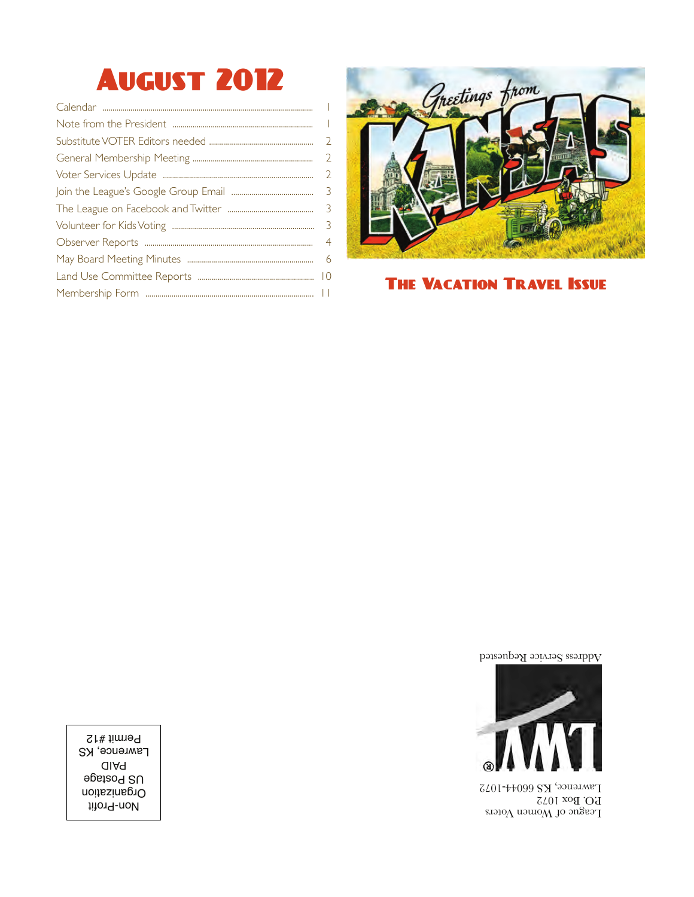# August 2012

|  | - 6 |  |  |  |
|--|-----|--|--|--|
|  |     |  |  |  |
|  |     |  |  |  |



The Vacation Travel Issue

Address Service Requested



League of Women Voters P.O. Box 1072 Lawrence, KS 66044-1072

Non-Profit Organization US Postage PAID **Lawrence, KS** Permit #12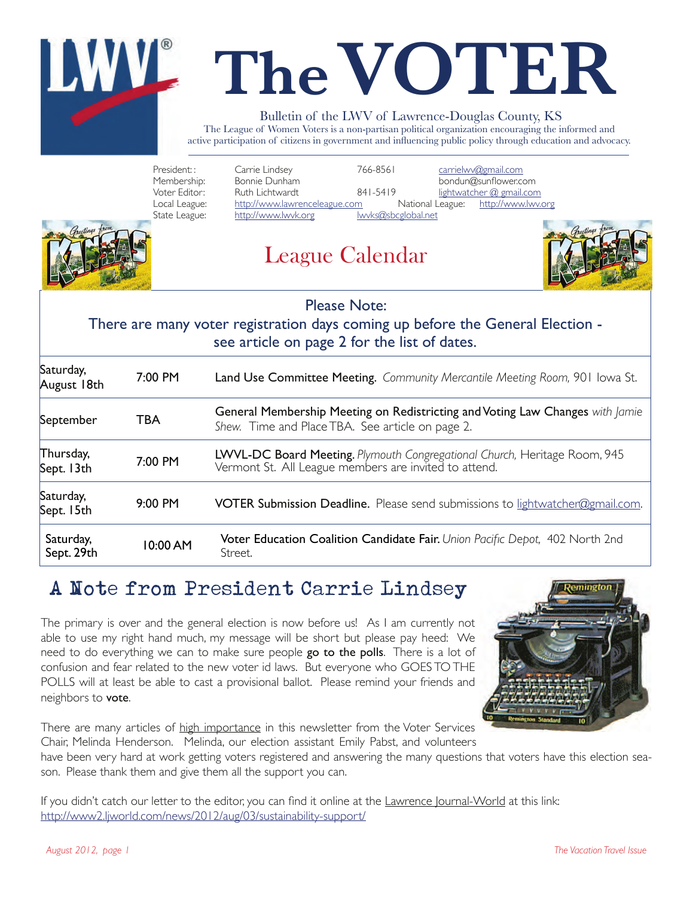

# **The VOTER**

#### Bulletin of the LWV of Lawrence-Douglas County, KS

The League of Women Voters is a non-partisan political organization encouraging the informed and active participation of citizens in government and influencing public policy through education and advocacy.

President: : Carrie Lindsey" " 766-8561 carrielwv@gmail.com Membership: Bonnie Dunham"" " " bondun@sunflower.com Voter Editor: Ruth Lichtwardt 1841-5419 lightwatcher @ gmail.com<br>"Local League: http://www.lawrenceleague.com National League: http://www.lwy.org Local League: http://www.lawrenceleague.com<br>State League: http://www.lwvk.org lwv http://www.lwvk.org lwvks@sbcglobal.net



League Calendar



**Please Note:** 

#### There are many voter see article on page 2 for the list of dates. :Please Note<br>er registration days coming<br>see article on page 2 for th ter registration days coming up before the General Election -

| Saturday,<br>August 18th | 7:00 PM    | Land Use Committee Meeting. Community Mercantile Meeting Room, 901 Iowa St.                                                        |  |  |
|--------------------------|------------|------------------------------------------------------------------------------------------------------------------------------------|--|--|
| September                | <b>TBA</b> | General Membership Meeting on Redistricting and Voting Law Changes with Jamie<br>Shew. Time and Place TBA. See article on page 2.  |  |  |
| Thursday,<br>Sept. 13th  | 7:00 PM    | LWVL-DC Board Meeting. Plymouth Congregational Church, Heritage Room, 945<br>Vermont St. All League members are invited to attend. |  |  |
| Saturday,<br>Sept. 15th  | 9:00 PM    | VOTER Submission Deadline. Please send submissions to lightwatcher@gmail.com.                                                      |  |  |
| Saturday,<br>Sept. 29th  | 10:00 AM   | Voter Education Coalition Candidate Fair. Union Pacific Depot, 402 North 2nd<br>Street.                                            |  |  |

# A Note from President Carrie Lindsey

The primary is over and the general election is now before us! As I am currently not able to use my right hand much, my message will be short but please pay heed: We need to do everything we can to make sure people go to the polls. There is a lot of confusion and fear related to the new voter id laws. But everyone who GOES TO THE POLLS will at least be able to cast a provisional ballot. Please remind your friends and neighbors to vote.



There are many articles of high importance in this newsletter from the Voter Services Chair, Melinda Henderson. Melinda, our election assistant Emily Pabst, and volunteers

have been very hard at work getting voters registered and answering the many questions that voters have this election season. Please thank them and give them all the support you can.

If you didn't catch our letter to the editor, you can find it online at the Lawrence Journal-World at this link: http://www2.ljworld.com/news/2012/aug/03/sustainability-support/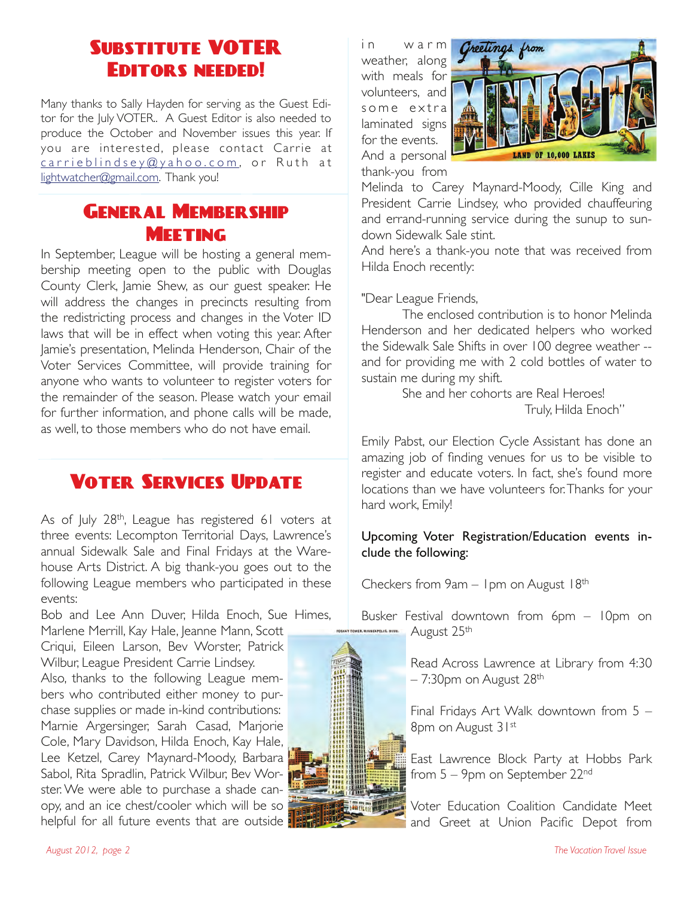# Substitute VOTER Editors needed!

Many thanks to Sally Hayden for serving as the Guest Editor for the July VOTER.. A Guest Editor is also needed to produce the October and November issues this year. If you are interested, please contact Carrie at carrieblindsey@yahoo.com, or Ruth at lightwatcher@gmail.com. Thank you!

### GENER AT MEMBER SHIP **MEETING**

In September, League will be hosting a general membership meeting open to the public with Douglas County Clerk, Jamie Shew, as our guest speaker. He will address the changes in precincts resulting from the redistricting process and changes in the Voter ID laws that will be in effect when voting this year. After Jamie's presentation, Melinda Henderson, Chair of the Voter Services Committee, will provide training for anyone who wants to volunteer to register voters for the remainder of the season. Please watch your email for further information, and phone calls will be made, as well, to those members who do not have email.

# Voter Services Update

As of July 28<sup>th</sup>, League has registered 61 voters at three events: Lecompton Territorial Days, Lawrence's annual Sidewalk Sale and Final Fridays at the Warehouse Arts District. A big thank-you goes out to the following League members who participated in these events:

Bob and Lee Ann Duver, Hilda Enoch, Sue Himes, Marlene Merrill, Kay Hale, Jeanne Mann, Scott

Criqui, Eileen Larson, Bev Worster, Patrick Wilbur, League President Carrie Lindsey. Also, thanks to the following League members who contributed either money to purchase supplies or made in-kind contributions: Marnie Argersinger, Sarah Casad, Marjorie Cole, Mary Davidson, Hilda Enoch, Kay Hale, Lee Ketzel, Carey Maynard-Moody, Barbara Sabol, Rita Spradlin, Patrick Wilbur, Bev Worster. We were able to purchase a shade canopy, and an ice chest/cooler which will be so helpful for all future events that are outside in warm weather, along with meals for volunteers, and some extra laminated signs for the events. And a personal thank-you from



Melinda to Carey Maynard-Moody, Cille King and President Carrie Lindsey, who provided chauffeuring and errand-running service during the sunup to sundown Sidewalk Sale stint.

And here's a thank-you note that was received from Hilda Enoch recently:

"Dear League Friends,

The enclosed contribution is to honor Melinda Henderson and her dedicated helpers who worked the Sidewalk Sale Shifts in over 100 degree weather - and for providing me with 2 cold bottles of water to sustain me during my shift.

She and her cohorts are Real Heroes! Truly, Hilda Enoch"

Emily Pabst, our Election Cycle Assistant has done an amazing job of finding venues for us to be visible to register and educate voters. In fact, she's found more locations than we have volunteers for. Thanks for your hard work, Emily!

#### Upcoming Voter Registration/Education events include the following:

Checkers from 9am – 1pm on August 18th

Busker Festival downtown from 6pm – 10pm on August 25th

> Read Across Lawrence at Library from 4:30  $-7:30$ pm on August 28<sup>th</sup>

> Final Fridays Art Walk downtown from 5 – 8pm on August 31st

> East Lawrence Block Party at Hobbs Park from 5 – 9pm on September 22nd

> Voter Education Coalition Candidate Meet and Greet at Union Pacific Depot from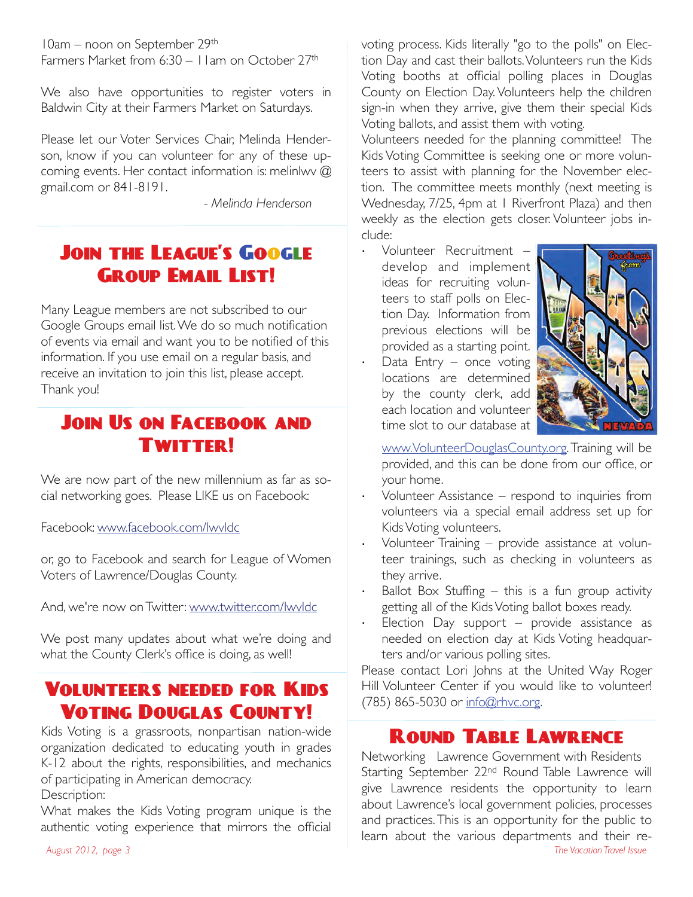10am – noon on September 29th Farmers Market from 6:30 – I I am on October 27<sup>th</sup>

We also have opportunities to register voters in Baldwin City at their Farmers Market on Saturdays.

Please let our Voter Services Chair, Melinda Henderson, know if you can volunteer for any of these upcoming events. Her contact information is: melinlwv @ gmail.com or 841-8191.

"""" *- Melinda Henderson*

# Join the League's Google Group Email List!

Many League members are not subscribed to our Google Groups email list. We do so much notification of events via email and want you to be notified of this information. If you use email on a regular basis, and receive an invitation to join this list, please accept. Thank you!

# **JOIN US ON FACEBOOK AND** Twitter!

We are now part of the new millennium as far as social networking goes. Please LIKE us on Facebook:

Facebook: www.facebook.com/lwvldc

or, go to Facebook and search for League of Women Voters of Lawrence/Douglas County.

And, we're now on Twitter: www.twitter.com/lwvldc

We post many updates about what we're doing and what the County Clerk's office is doing, as well!

# Volunteers needed for Kids Voting Douglas County!

Kids Voting is a grassroots, nonpartisan nation-wide organization dedicated to educating youth in grades K-12 about the rights, responsibilities, and mechanics of participating in American democracy. Description:

What makes the Kids Voting program unique is the authentic voting experience that mirrors the official voting process. Kids literally "go to the polls" on Election Day and cast their ballots. Volunteers run the Kids Voting booths at official polling places in Douglas County on Election Day. Volunteers help the children sign-in when they arrive, give them their special Kids Voting ballots, and assist them with voting.

Volunteers needed for the planning committee! The Kids Voting Committee is seeking one or more volunteers to assist with planning for the November election. The committee meets monthly (next meeting is Wednesday, 7/25, 4pm at 1 Riverfront Plaza) and then weekly as the election gets closer. Volunteer jobs include:

· Volunteer Recruitment develop and implement ideas for recruiting volunteers to staff polls on Election Day. Information from previous elections will be provided as a starting point. Data Entry  $-$  once voting locations are determined by the county clerk, add each location and volunteer time slot to our database at



www.VolunteerDouglasCounty.org. Training will be provided, and this can be done from our office, or your home.

- Volunteer Assistance respond to inquiries from volunteers via a special email address set up for Kids Voting volunteers.
- Volunteer Training provide assistance at volunteer trainings, such as checking in volunteers as they arrive.
- Ballot Box Stuffing  $-$  this is a fun group activity getting all of the Kids Voting ballot boxes ready.
- Election Day support provide assistance as needed on election day at Kids Voting headquarters and/or various polling sites.

Please contact Lori Johns at the United Way Roger Hill Volunteer Center if you would like to volunteer! (785) 865-5030 or info@rhvc.org.

#### ROUND TABLE LAWRENCE

Networking Lawrence Government with Residents Starting September 22<sup>nd</sup> Round Table Lawrence will give Lawrence residents the opportunity to learn about Lawrence's local government policies, processes and practices. This is an opportunity for the public to learn about the various departments and their re-<br>The Vacation Travel Issue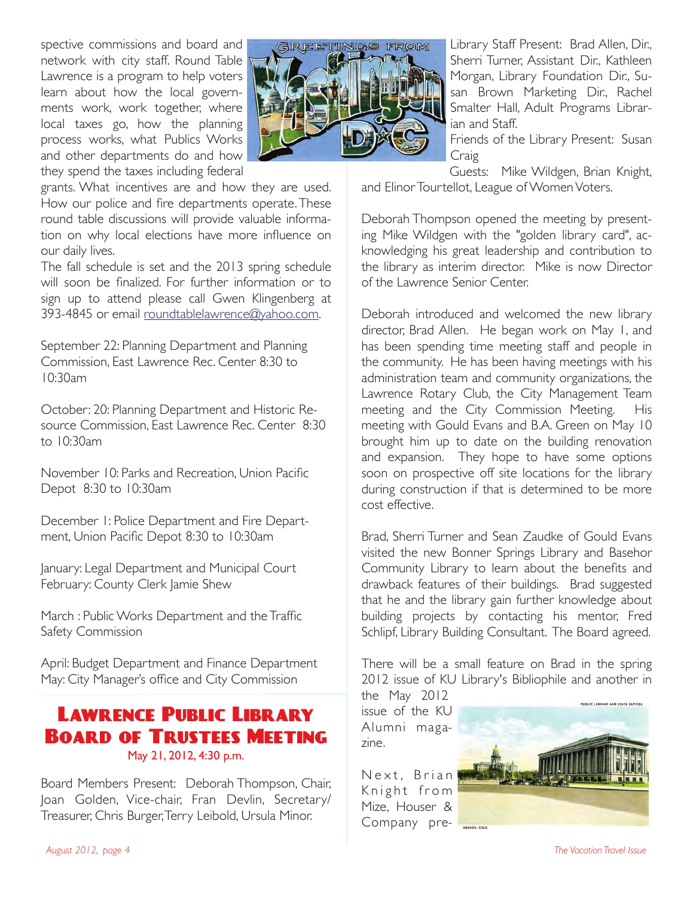spective commissions and board and network with city staff. Round Table Lawrence is a program to help voters learn about how the local governments work, work together, where local taxes go, how the planning process works, what Publics Works and other departments do and how they spend the taxes including federal



grants. What incentives are and how they are used. How our police and fire departments operate. These round table discussions will provide valuable information on why local elections have more influence on our daily lives.

The fall schedule is set and the 2013 spring schedule will soon be finalized. For further information or to sign up to attend please call Gwen Klingenberg at 393-4845 or email roundtablelawrence@yahoo.com.

September 22: Planning Department and Planning Commission, East Lawrence Rec. Center 8:30 to 10:30am

October: 20: Planning Department and Historic Resource Commission, East Lawrence Rec. Center 8:30 to 10:30am

November 10: Parks and Recreation, Union Pacific Depot 8:30 to 10:30am

December 1: Police Department and Fire Department, Union Pacific Depot 8:30 to 10:30am

January: Legal Department and Municipal Court February: County Clerk Jamie Shew

March : Public Works Department and the Traffic Safety Commission

April: Budget Department and Finance Department May: City Manager's office and City Commission

#### Lawrence Public Library Board of Trustees Meeting May 21, 2012, 4:30 p.m.

Board Members Present: Deborah Thompson, Chair, Joan Golden, Vice-chair, Fran Devlin, Secretary/ Treasurer, Chris Burger, Terry Leibold, Ursula Minor.

Library Staff Present: Brad Allen, Dir., Sherri Turner, Assistant Dir., Kathleen Morgan, Library Foundation Dir., Susan Brown Marketing Dir., Rachel Smalter Hall, Adult Programs Librarian and Staff.

Friends of the Library Present: Susan Craig

Guests: Mike Wildgen, Brian Knight, and Elinor Tourtellot, League of Women Voters.

Deborah Thompson opened the meeting by presenting Mike Wildgen with the "golden library card", acknowledging his great leadership and contribution to the library as interim director. Mike is now Director of the Lawrence Senior Center.

Deborah introduced and welcomed the new library director, Brad Allen. He began work on May 1, and has been spending time meeting staff and people in the community. He has been having meetings with his administration team and community organizations, the Lawrence Rotary Club, the City Management Team meeting and the City Commission Meeting. His meeting with Gould Evans and B.A. Green on May 10 brought him up to date on the building renovation and expansion. They hope to have some options soon on prospective off site locations for the library during construction if that is determined to be more cost effective.

Brad, Sherri Turner and Sean Zaudke of Gould Evans visited the new Bonner Springs Library and Basehor Community Library to learn about the benefits and drawback features of their buildings. Brad suggested that he and the library gain further knowledge about building projects by contacting his mentor, Fred Schlipf, Library Building Consultant. The Board agreed.

There will be a small feature on Brad in the spring 2012 issue of KU Library's Bibliophile and another in

the May 2012 issue of the KU Alumni magazine.

Next, Brian Knight from Mize, Houser & Company pre-

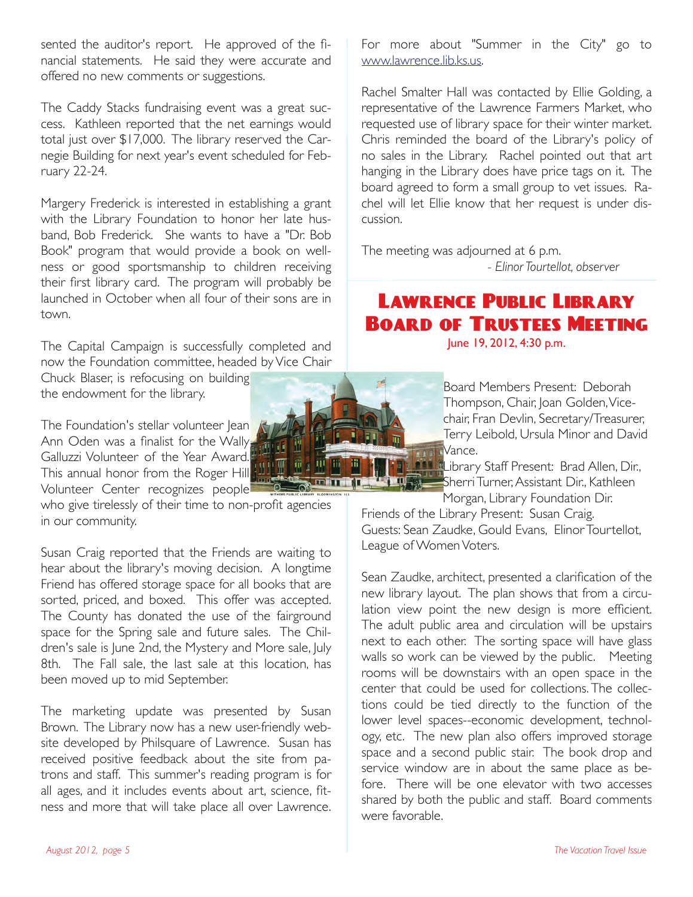sented the auditor's report. He approved of the financial statements. He said they were accurate and offered no new comments or suggestions.

The Caddy Stacks fundraising event was a great success. Kathleen reported that the net earnings would total just over \$17,000. The library reserved the Carnegie Building for next year's event scheduled for February 22-24.

Margery Frederick is interested in establishing a grant with the Library Foundation to honor her late husband, Bob Frederick. She wants to have a "Dr. Bob Book" program that would provide a book on wellness or good sportsmanship to children receiving their first library card. The program will probably be launched in October when all four of their sons are in town.

The Capital Campaign is successfully completed and now the Foundation committee, headed by Vice Chair Chuck Blaser, is refocusing on building the endowment for the library.

The Foundation's stellar volunteer Jean Ann Oden was a finalist for the Wally Galluzzi Volunteer of the Year Award. This annual honor from the Roger Hill Volunteer Center recognizes people

who give tirelessly of their time to non-profit agencies in our community.

Susan Craig reported that the Friends are waiting to hear about the library's moving decision. A longtime Friend has offered storage space for all books that are sorted, priced, and boxed. This offer was accepted. The County has donated the use of the fairground space for the Spring sale and future sales. The Children's sale is June 2nd, the Mystery and More sale, July 8th. The Fall sale, the last sale at this location, has been moved up to mid September.

The marketing update was presented by Susan Brown. The Library now has a new user-friendly website developed by Philsquare of Lawrence. Susan has received positive feedback about the site from patrons and staff. This summer's reading program is for all ages, and it includes events about art, science, fitness and more that will take place all over Lawrence.

For more about "Summer in the City" go to www.lawrence.lib.ks.us.

Rachel Smalter Hall was contacted by Ellie Golding, a representative of the Lawrence Farmers Market, who requested use of library space for their winter market. Chris reminded the board of the Library's policy of no sales in the Library. Rachel pointed out that art hanging in the Library does have price tags on it. The board agreed to form a small group to vet issues. Rachel will let Ellie know that her request is under discussion.

The meeting was adjourned at 6 p.m. - Elinor Tourtellot, observer

#### Lawrence Public Library Board of Trustees Meeting June 19, 2012, 4:30 p.m.

Board Members Present: Deborah Thompson, Chair, Joan Golden, Vicechair, Fran Devlin, Secretary/Treasurer, Terry Leibold, Ursula Minor and David Vance.

**Like E** ibrary Staff Present: Brad Allen, Dir., Sherri Turner, Assistant Dir., Kathleen Morgan, Library Foundation Dir.

Friends of the Library Present: Susan Craig. Guests: Sean Zaudke, Gould Evans, Elinor Tourtellot, League of Women Voters.

Sean Zaudke, architect, presented a clarification of the new library layout. The plan shows that from a circulation view point the new design is more efficient. The adult public area and circulation will be upstairs next to each other. The sorting space will have glass walls so work can be viewed by the public. Meeting rooms will be downstairs with an open space in the center that could be used for collections. The collections could be tied directly to the function of the lower level spaces--economic development, technology, etc. The new plan also offers improved storage space and a second public stair. The book drop and service window are in about the same place as before. There will be one elevator with two accesses shared by both the public and staff. Board comments were favorable.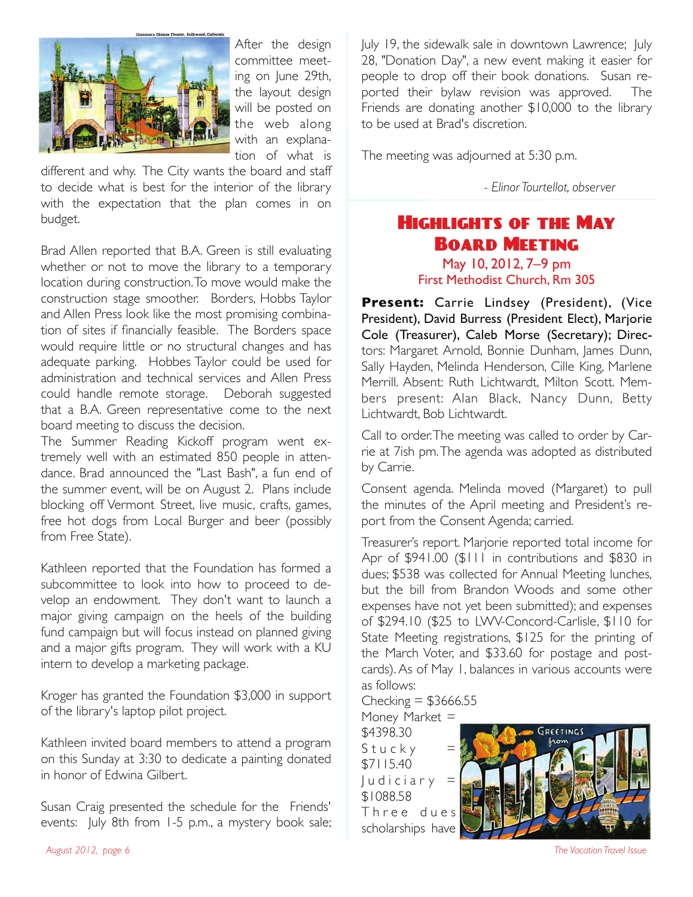

After the design committee meeting on June 29th, the layout design will be posted on the web along with an explanation of what is

different and why. The City wants the board and staff to decide what is best for the interior of the library with the expectation that the plan comes in on budget.

Brad Allen reported that B.A. Green is still evaluating whether or not to move the library to a temporary location during construction. To move would make the construction stage smoother. Borders, Hobbs Taylor and Allen Press look like the most promising combination of sites if financially feasible. The Borders space would require little or no structural changes and has adequate parking. Hobbes Taylor could be used for administration and technical services and Allen Press could handle remote storage. Deborah suggested that a B.A. Green representative come to the next board meeting to discuss the decision.

The Summer Reading Kickoff program went extremely well with an estimated 850 people in attendance. Brad announced the "Last Bash", a fun end of the summer event, will be on August 2. Plans include blocking off Vermont Street, live music, crafts, games, free hot dogs from Local Burger and beer (possibly from Free State).

Kathleen reported that the Foundation has formed a subcommittee to look into how to proceed to develop an endowment. They don't want to launch a major giving campaign on the heels of the building fund campaign but will focus instead on planned giving and a major gifts program. They will work with a KU intern to develop a marketing package.

Kroger has granted the Foundation \$3,000 in support of the library's laptop pilot project.

Kathleen invited board members to attend a program on this Sunday at 3:30 to dedicate a painting donated in honor of Edwina Gilbert.

Susan Craig presented the schedule for the Friends' events: July 8th from 1-5 p.m., a mystery book sale; July 19, the sidewalk sale in downtown Lawrence; July 28, "Donation Day", a new event making it easier for people to drop off their book donations. Susan reported their bylaw revision was approved. The Friends are donating another \$10,000 to the library to be used at Brad's discretion.

The meeting was adjourned at 5:30 p.m.

""" *- Elinor Tourtellot, observer*

# Highlights of the May Board Meeting

May 10, 2012, 7–9 pm First Methodist Church, Rm 305

**Present:** Carrie Lindsey (President), (Vice President), David Burress (President Elect), Marjorie Cole (Treasurer), Caleb Morse (Secretary); Directors: Margaret Arnold, Bonnie Dunham, James Dunn, Sally Hayden, Melinda Henderson, Cille King, Marlene Merrill. Absent: Ruth Lichtwardt, Milton Scott. Members present: Alan Black, Nancy Dunn, Betty Lichtwardt, Bob Lichtwardt.

Call to order. The meeting was called to order by Carrie at 7ish pm. The agenda was adopted as distributed by Carrie.

Consent agenda. Melinda moved (Margaret) to pull the minutes of the April meeting and President's report from the Consent Agenda; carried.

Treasurer's report. Marjorie reported total income for Apr of \$941.00 (\$111 in contributions and \$830 in dues; \$538 was collected for Annual Meeting lunches, but the bill from Brandon Woods and some other expenses have not yet been submitted); and expenses of \$294.10 (\$25 to LWV-Concord-Carlisle, \$110 for State Meeting registrations, \$125 for the printing of the March Voter, and \$33.60 for postage and postcards). As of May 1, balances in various accounts were as follows:

Checking  $=$  \$3666.55

Money Market = \$4398.30  $Stucky =$ \$7115.40  $l$  u d i c i a r y = \$1088.58 Three dues scholarships have

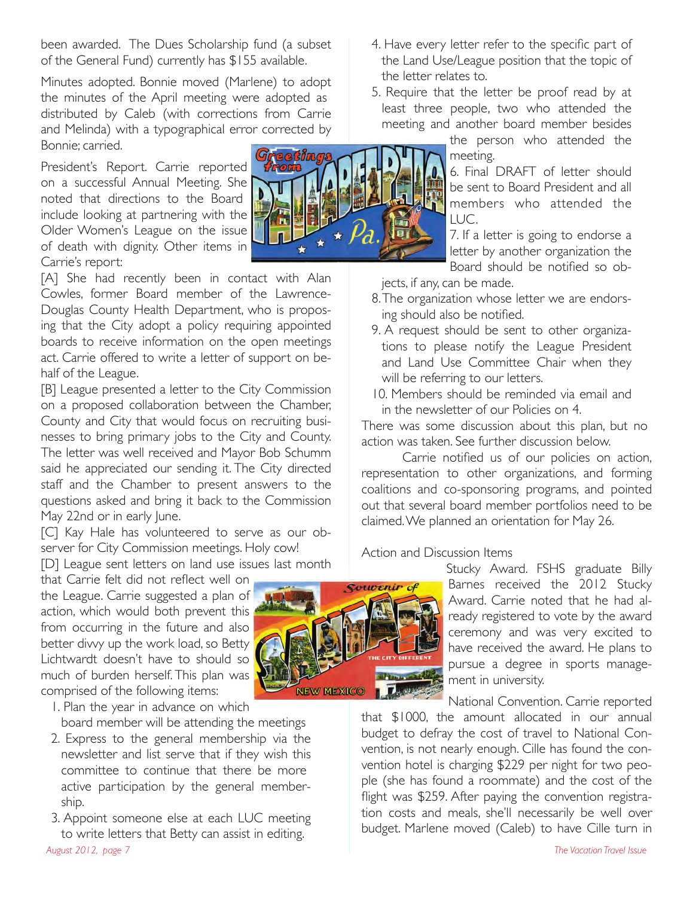been awarded. The Dues Scholarship fund (a subset of the General Fund) currently has \$155 available.

Minutes adopted. Bonnie moved (Marlene) to adopt the minutes of the April meeting were adopted as distributed by Caleb (with corrections from Carrie and Melinda) with a typographical error corrected by Bonnie; carried.

President's Report. Carrie reported on a successful Annual Meeting. She noted that directions to the Board include looking at partnering with the Older Women's League on the issue of death with dignity. Other items in Carrie's report:

[A] She had recently been in contact with Alan Cowles, former Board member of the Lawrence-Douglas County Health Department, who is proposing that the City adopt a policy requiring appointed boards to receive information on the open meetings act. Carrie offered to write a letter of support on behalf of the League.

[B] League presented a letter to the City Commission on a proposed collaboration between the Chamber, County and City that would focus on recruiting businesses to bring primary jobs to the City and County. The letter was well received and Mayor Bob Schumm said he appreciated our sending it. The City directed staff and the Chamber to present answers to the questions asked and bring it back to the Commission May 22nd or in early lune.

[C] Kay Hale has volunteered to serve as our observer for City Commission meetings. Holy cow!

[D] League sent letters on land use issues last month

that Carrie felt did not reflect well on the League. Carrie suggested a plan of action, which would both prevent this from occurring in the future and also better divvy up the work load, so Betty Lichtwardt doesn't have to should so much of burden herself. This plan was comprised of the following items:

1. Plan the year in advance on which board member will be attending the meetings

- 2. Express to the general membership via the newsletter and list serve that if they wish this committee to continue that there be more active participation by the general membership.
- 3. Appoint someone else at each LUC meeting to write letters that Betty can assist in editing.

Souvenir c **NEW MEXICO** 

- 4. Have every letter refer to the specific part of the Land Use/League position that the topic of the letter relates to.
- 5. Require that the letter be proof read by at least three people, two who attended the meeting and another board member besides

the person who attended the meeting.

6. Final DRAFT of letter should be sent to Board President and all members who attended the  $LUC.$ 

7. If a letter is going to endorse a letter by another organization the Board should be notified so ob-

jects, if any, can be made.

- 8. The organization whose letter we are endorsing should also be notified.
- 9. A request should be sent to other organizations to please notify the League President and Land Use Committee Chair when they will be referring to our letters.
- 10. Members should be reminded via email and in the newsletter of our Policies on 4.

There was some discussion about this plan, but no action was taken. See further discussion below.

Carrie notified us of our policies on action, representation to other organizations, and forming coalitions and co-sponsoring programs, and pointed out that several board member portfolios need to be claimed. We planned an orientation for May 26.

#### Action and Discussion Items

Stucky Award. FSHS graduate Billy Barnes received the 2012 Stucky Award. Carrie noted that he had already registered to vote by the award ceremony and was very excited to have received the award. He plans to pursue a degree in sports management in university.

National Convention. Carrie reported

that \$1000, the amount allocated in our annual budget to defray the cost of travel to National Convention, is not nearly enough. Cille has found the convention hotel is charging \$229 per night for two people (she has found a roommate) and the cost of the flight was \$259. After paying the convention registration costs and meals, she'll necessarily be well over budget. Marlene moved (Caleb) to have Cille turn in

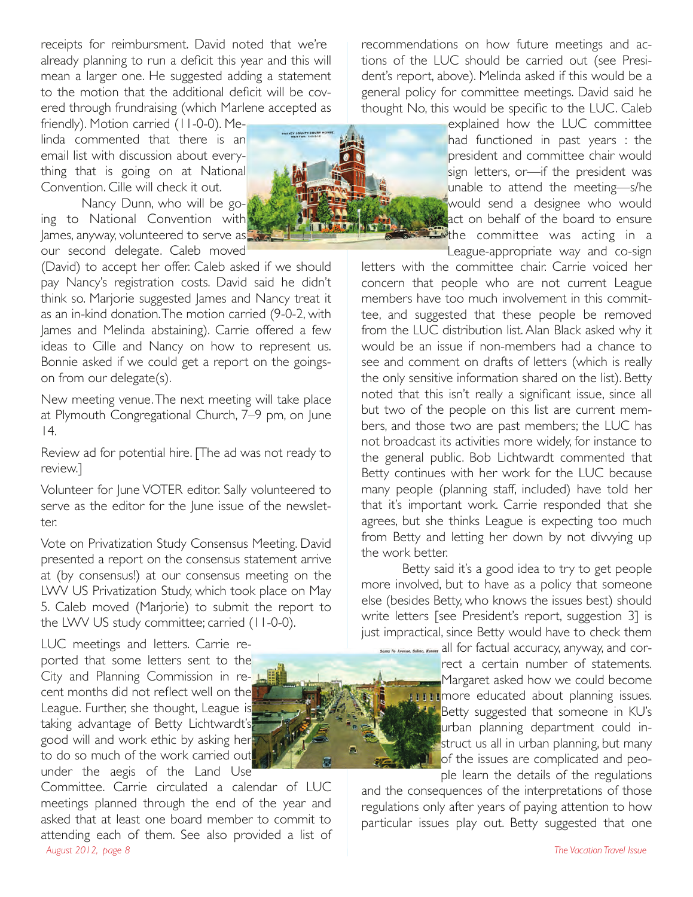receipts for reimbursment. David noted that we're already planning to run a deficit this year and this will mean a larger one. He suggested adding a statement to the motion that the additional deficit will be covered through frundraising (which Marlene accepted as

friendly). Motion carried (11-0-0). Melinda commented that there is an email list with discussion about everything that is going on at National Convention. Cille will check it out.

Nancy Dunn, who will be going to National Convention with James, anyway, volunteered to serve as our second delegate. Caleb moved

(David) to accept her offer. Caleb asked if we should pay Nancy's registration costs. David said he didn't think so. Marjorie suggested James and Nancy treat it as an in-kind donation. The motion carried (9-0-2, with James and Melinda abstaining). Carrie offered a few ideas to Cille and Nancy on how to represent us. Bonnie asked if we could get a report on the goingson from our delegate(s).

New meeting venue. The next meeting will take place at Plymouth Congregational Church, 7–9 pm, on June 14.

Review ad for potential hire. [The ad was not ready to review.]

Volunteer for June VOTER editor. Sally volunteered to serve as the editor for the June issue of the newsletter.

Vote on Privatization Study Consensus Meeting. David presented a report on the consensus statement arrive at (by consensus!) at our consensus meeting on the LWV US Privatization Study, which took place on May 5. Caleb moved (Marjorie) to submit the report to the LWV US study committee; carried (11-0-0).

LUC meetings and letters. Carrie reported that some letters sent to the City and Planning Commission in recent months did not reflect well on the League. Further, she thought, League is taking advantage of Betty Lichtwardt's good will and work ethic by asking her to do so much of the work carried out under the aegis of the Land Use

Committee. Carrie circulated a calendar of LUC meetings planned through the end of the year and asked that at least one board member to commit to attending each of them. See also provided a list of *August 2012, page 8 The Vacation Travel Issue* 

recommendations on how future meetings and actions of the LUC should be carried out (see President's report, above). Melinda asked if this would be a general policy for committee meetings. David said he thought No, this would be specific to the LUC. Caleb



explained how the LUC committee had functioned in past years : the president and committee chair would sign letters, or—if the president was unable to attend the meeting—s/he would send a designee who would act on behalf of the board to ensure withe committee was acting in a League-appropriate way and co-sign

letters with the committee chair. Carrie voiced her concern that people who are not current League members have too much involvement in this committee, and suggested that these people be removed from the LUC distribution list. Alan Black asked why it would be an issue if non-members had a chance to see and comment on drafts of letters (which is really the only sensitive information shared on the list). Betty noted that this isn't really a significant issue, since all but two of the people on this list are current members, and those two are past members; the LUC has not broadcast its activities more widely, for instance to the general public. Bob Lichtwardt commented that Betty continues with her work for the LUC because many people (planning staff, included) have told her that it's important work. Carrie responded that she agrees, but she thinks League is expecting too much from Betty and letting her down by not divvying up the work better.

Betty said it's a good idea to try to get people more involved, but to have as a policy that someone else (besides Betty, who knows the issues best) should write letters [see President's report, suggestion 3] is just impractical, since Betty would have to check them

Banta Fe Avenue, Ballino, Kanany all for factual accuracy, anyway, and correct a certain number of statements. **Margaret asked how we could become ITTITIMORE educated about planning issues.** Betty suggested that someone in KU's urban planning department could instruct us all in urban planning, but many of the issues are complicated and people learn the details of the regulations

and the consequences of the interpretations of those regulations only after years of paying attention to how particular issues play out. Betty suggested that one

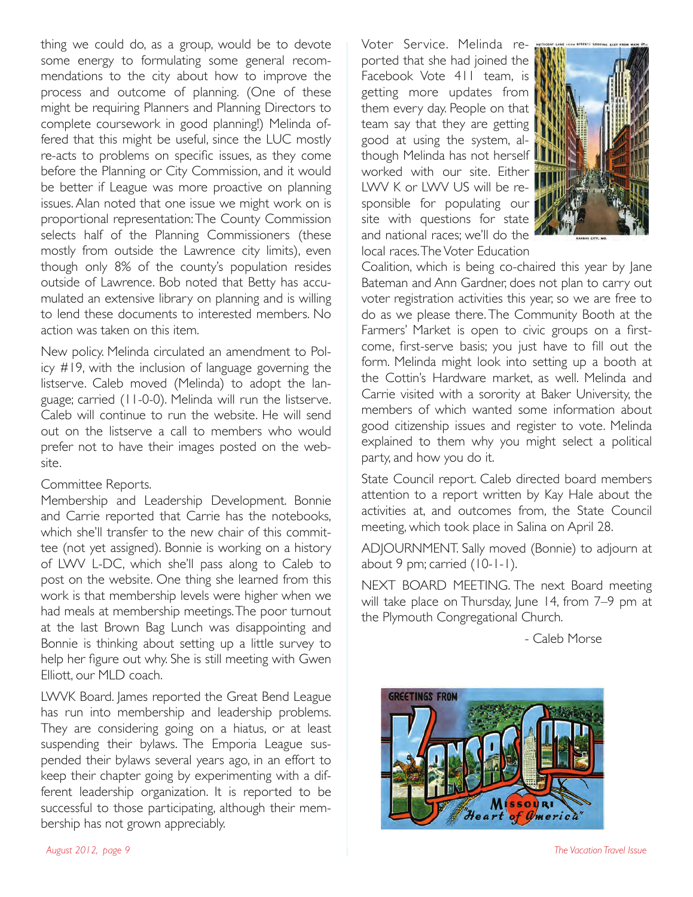thing we could do, as a group, would be to devote some energy to formulating some general recommendations to the city about how to improve the process and outcome of planning. (One of these might be requiring Planners and Planning Directors to complete coursework in good planning!) Melinda offered that this might be useful, since the LUC mostly re-acts to problems on specific issues, as they come before the Planning or City Commission, and it would be better if League was more proactive on planning issues. Alan noted that one issue we might work on is proportional representation: The County Commission selects half of the Planning Commissioners (these mostly from outside the Lawrence city limits), even though only 8% of the county's population resides outside of Lawrence. Bob noted that Betty has accumulated an extensive library on planning and is willing to lend these documents to interested members. No action was taken on this item.

New policy. Melinda circulated an amendment to Policy #19, with the inclusion of language governing the listserve. Caleb moved (Melinda) to adopt the language; carried (11-0-0). Melinda will run the listserve. Caleb will continue to run the website. He will send out on the listserve a call to members who would prefer not to have their images posted on the website.

#### Committee Reports.

Membership and Leadership Development. Bonnie and Carrie reported that Carrie has the notebooks, which she'll transfer to the new chair of this committee (not yet assigned). Bonnie is working on a history of LWV L-DC, which she'll pass along to Caleb to post on the website. One thing she learned from this work is that membership levels were higher when we had meals at membership meetings. The poor turnout at the last Brown Bag Lunch was disappointing and Bonnie is thinking about setting up a little survey to help her figure out why. She is still meeting with Gwen Elliott, our MLD coach.

LWVK Board. James reported the Great Bend League has run into membership and leadership problems. They are considering going on a hiatus, or at least suspending their bylaws. The Emporia League suspended their bylaws several years ago, in an effort to keep their chapter going by experimenting with a different leadership organization. It is reported to be successful to those participating, although their membership has not grown appreciably.

Voter Service. Melinda reported that she had joined the Facebook Vote 411 team, is getting more updates from them every day. People on that team say that they are getting good at using the system, although Melinda has not herself worked with our site. Either LWV K or LWV US will be responsible for populating our site with questions for state and national races; we'll do the local races. The Voter Education



Coalition, which is being co-chaired this year by Jane Bateman and Ann Gardner, does not plan to carry out voter registration activities this year, so we are free to do as we please there. The Community Booth at the Farmers' Market is open to civic groups on a firstcome, first-serve basis; you just have to fill out the form. Melinda might look into setting up a booth at the Cottin's Hardware market, as well. Melinda and Carrie visited with a sorority at Baker University, the members of which wanted some information about good citizenship issues and register to vote. Melinda explained to them why you might select a political party, and how you do it.

State Council report. Caleb directed board members attention to a report written by Kay Hale about the activities at, and outcomes from, the State Council meeting, which took place in Salina on April 28.

ADJOURNMENT. Sally moved (Bonnie) to adjourn at about 9 pm; carried (10-1-1).

NEXT BOARD MEETING. The next Board meeting will take place on Thursday, June 14, from 7-9 pm at the Plymouth Congregational Church.

- Caleb Morse



*August 2012, page 9 The Vacation Travel Issue*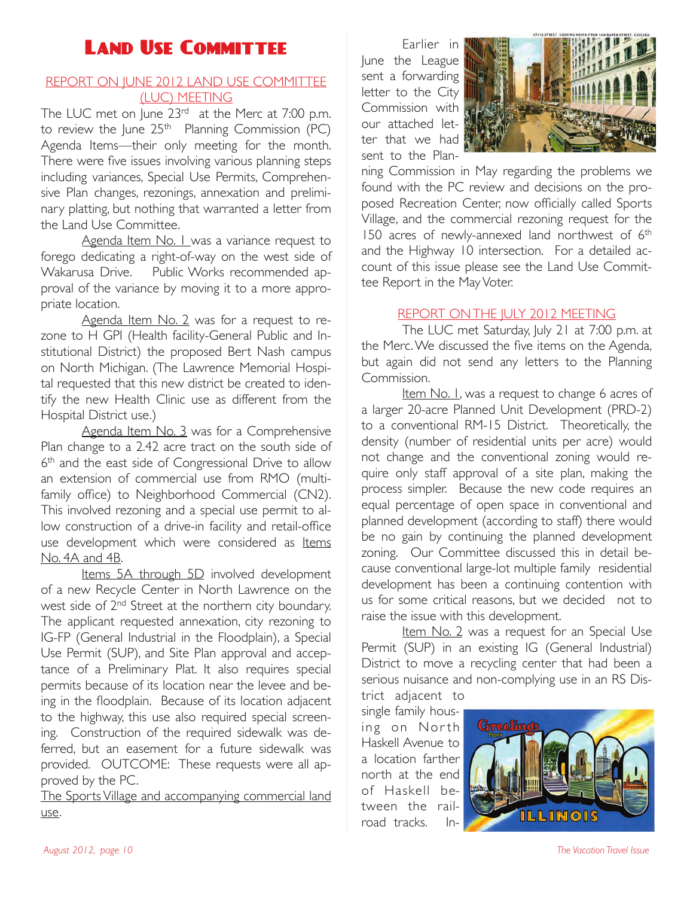# Land Use Committee

#### REPORT ON JUNE 2012 LAND USE COMMITTEE (LUC) MEETING

The LUC met on June 23<sup>rd</sup> at the Merc at 7:00 p.m. to review the June 25<sup>th</sup> Planning Commission (PC) Agenda Items—their only meeting for the month. There were five issues involving various planning steps including variances, Special Use Permits, Comprehensive Plan changes, rezonings, annexation and preliminary platting, but nothing that warranted a letter from the Land Use Committee.

Agenda Item No. I was a variance request to forego dedicating a right-of-way on the west side of Wakarusa Drive. Public Works recommended approval of the variance by moving it to a more appropriate location.

Agenda Item No. 2 was for a request to rezone to H GPI (Health facility-General Public and Institutional District) the proposed Bert Nash campus on North Michigan. (The Lawrence Memorial Hospital requested that this new district be created to identify the new Health Clinic use as different from the Hospital District use.)

Agenda Item No. 3 was for a Comprehensive Plan change to a 2.42 acre tract on the south side of 6<sup>th</sup> and the east side of Congressional Drive to allow an extension of commercial use from RMO (multifamily office) to Neighborhood Commercial (CN2). This involved rezoning and a special use permit to allow construction of a drive-in facility and retail-office use development which were considered as Items No. 4A and 4B.

Items 5A through 5D involved development of a new Recycle Center in North Lawrence on the west side of 2<sup>nd</sup> Street at the northern city boundary. The applicant requested annexation, city rezoning to IG-FP (General Industrial in the Floodplain), a Special Use Permit (SUP), and Site Plan approval and acceptance of a Preliminary Plat. It also requires special permits because of its location near the levee and being in the floodplain. Because of its location adjacent to the highway, this use also required special screening. Construction of the required sidewalk was deferred, but an easement for a future sidewalk was provided. OUTCOME: These requests were all approved by the PC.

The Sports Village and accompanying commercial land use.

Earlier in June the League sent a forwarding letter to the City Commission with our attached letter that we had sent to the Plan-



ning Commission in May regarding the problems we found with the PC review and decisions on the proposed Recreation Center, now officially called Sports Village, and the commercial rezoning request for the 150 acres of newly-annexed land northwest of 6<sup>th</sup> and the Highway 10 intersection. For a detailed account of this issue please see the Land Use Committee Report in the May Voter.

#### REPORT ON THE JULY 2012 MEETING

The LUC met Saturday, July 21 at 7:00 p.m. at the Merc. We discussed the five items on the Agenda, but again did not send any letters to the Planning Commission.

Item No. I, was a request to change 6 acres of a larger 20-acre Planned Unit Development (PRD-2) to a conventional RM-15 District. Theoretically, the density (number of residential units per acre) would not change and the conventional zoning would require only staff approval of a site plan, making the process simpler. Because the new code requires an equal percentage of open space in conventional and planned development (according to staff) there would be no gain by continuing the planned development zoning. Our Committee discussed this in detail because conventional large-lot multiple family residential development has been a continuing contention with us for some critical reasons, but we decided not to raise the issue with this development.

Item No. 2 was a request for an Special Use Permit (SUP) in an existing IG (General Industrial) District to move a recycling center that had been a serious nuisance and non-complying use in an RS District adjacent to

single family housing on North Haskell Avenue to a location farther north at the end of Haskell between the railroad tracks. In-